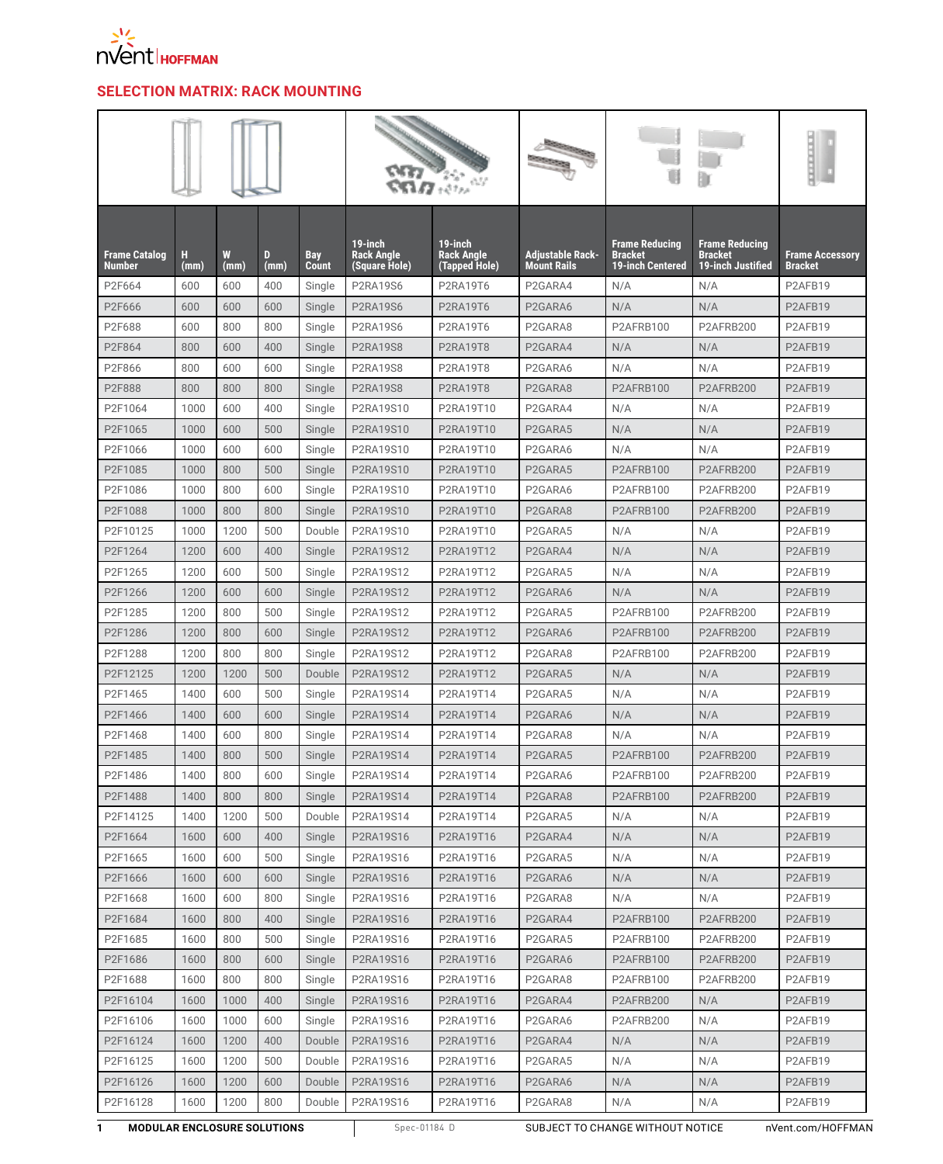

## **SELECTION MATRIX: RACK MOUNTING**

|                                       |           |           |           |                            |                                               |                                               |                                        | Ū                                                                  |                                                              | <b>THEFT</b>                             |
|---------------------------------------|-----------|-----------|-----------|----------------------------|-----------------------------------------------|-----------------------------------------------|----------------------------------------|--------------------------------------------------------------------|--------------------------------------------------------------|------------------------------------------|
| <b>Frame Catalog</b><br><b>Number</b> | н<br>(mm) | W<br>(mm) | D<br>(mm) | <b>Bay</b><br><b>Count</b> | 19-inch<br><b>Rack Angle</b><br>(Square Hole) | 19-inch<br><b>Rack Angle</b><br>(Tapped Hole) | Adjustable Rack-<br><b>Mount Rails</b> | <b>Frame Reducing</b><br><b>Bracket</b><br><b>19-inch Centered</b> | <b>Frame Reducing</b><br><b>Bracket</b><br>19-inch Justified | <b>Frame Accessory</b><br><b>Bracket</b> |
| P2F664                                | 600       | 600       | 400       | Single                     | <b>P2RA19S6</b>                               | P2RA19T6                                      | P2GARA4                                | N/A                                                                | N/A                                                          | P2AFB19                                  |
| P2F666                                | 600       | 600       | 600       | Single                     | <b>P2RA19S6</b>                               | <b>P2RA19T6</b>                               | P2GARA6                                | N/A                                                                | N/A                                                          | P2AFB19                                  |
| P2F688                                | 600       | 800       | 800       | Single                     | <b>P2RA19S6</b>                               | P2RA19T6                                      | P2GARA8                                | P2AFRB100                                                          | P2AFRB200                                                    | P2AFB19                                  |
| P2F864                                | 800       | 600       | 400       | Single                     | <b>P2RA19S8</b>                               | <b>P2RA19T8</b>                               | P2GARA4                                | N/A                                                                | N/A                                                          | P2AFB19                                  |
| P2F866                                | 800       | 600       | 600       | Single                     | <b>P2RA19S8</b>                               | <b>P2RA19T8</b>                               | P2GARA6                                | N/A                                                                | N/A                                                          | P2AFB19                                  |
| P2F888                                | 800       | 800       | 800       | Single                     | <b>P2RA19S8</b>                               | <b>P2RA19T8</b>                               | P2GARA8                                | P2AFRB100                                                          | P2AFRB200                                                    | P2AFB19                                  |
| P2F1064                               | 1000      | 600       | 400       | Single                     | P2RA19S10                                     | P2RA19T10                                     | P2GARA4                                | N/A                                                                | N/A                                                          | P2AFB19                                  |
| P2F1065                               | 1000      | 600       | 500       | Single                     | P2RA19S10                                     | P2RA19T10                                     | P <sub>2</sub> GARA <sub>5</sub>       | N/A                                                                | N/A                                                          | P2AFB19                                  |
| P2F1066                               | 1000      | 600       | 600       | Single                     | P2RA19S10                                     | P2RA19T10                                     | P2GARA6                                | N/A                                                                | N/A                                                          | P2AFB19                                  |
| P2F1085                               | 1000      | 800       | 500       | Single                     | P2RA19S10                                     | P2RA19T10                                     | P2GARA5                                | P2AFRB100                                                          | P2AFRB200                                                    | P2AFB19                                  |
| P2F1086                               | 1000      | 800       | 600       | Single                     | P2RA19S10                                     | P2RA19T10                                     | P2GARA6                                | P2AFRB100                                                          | P2AFRB200                                                    | P2AFB19                                  |
| P2F1088                               | 1000      | 800       | 800       | Single                     | P2RA19S10                                     | P2RA19T10                                     | P2GARA8                                | P2AFRB100                                                          | P2AFRB200                                                    | P2AFB19                                  |
| P2F10125                              | 1000      | 1200      | 500       | Double                     | P2RA19S10                                     | P2RA19T10                                     | P <sub>2</sub> GARA <sub>5</sub>       | N/A                                                                | N/A                                                          | P2AFB19                                  |
| P2F1264                               | 1200      | 600       | 400       | Single                     | P2RA19S12                                     | P2RA19T12                                     | P2GARA4                                | N/A                                                                | N/A                                                          | P2AFB19                                  |
| P2F1265                               | 1200      | 600       | 500       | Single                     | P2RA19S12                                     | P2RA19T12                                     | P2GARA5                                | N/A                                                                | N/A                                                          | P2AFB19                                  |
| P2F1266                               | 1200      | 600       | 600       | Single                     | P2RA19S12                                     | P2RA19T12                                     | P2GARA6                                | N/A                                                                | N/A                                                          | P2AFB19                                  |
| P2F1285                               | 1200      | 800       | 500       | Single                     | P2RA19S12                                     | P2RA19T12                                     | P2GARA5                                | P2AFRB100                                                          | P2AFRB200                                                    | P2AFB19                                  |
| P2F1286                               | 1200      | 800       | 600       | Single                     | P2RA19S12                                     | P2RA19T12                                     | P2GARA6                                | P2AFRB100                                                          | P2AFRB200                                                    | P2AFB19                                  |
| P2F1288                               | 1200      | 800       | 800       | Single                     | P2RA19S12                                     | P2RA19T12                                     | P2GARA8                                | P2AFRB100                                                          | P2AFRB200                                                    | P2AFB19                                  |
| P2F12125                              | 1200      | 1200      | 500       | Double                     | P2RA19S12                                     | P2RA19T12                                     | P <sub>2</sub> GARA <sub>5</sub>       | N/A                                                                | N/A                                                          | P2AFB19                                  |
| P2F1465                               | 1400      | 600       | 500       | Single                     | P2RA19S14                                     | P2RA19T14                                     | P2GARA5                                | N/A                                                                | N/A                                                          | P2AFB19                                  |
| P2F1466                               | 1400      | 600       | 600       | Single                     | P2RA19S14                                     | P2RA19T14                                     | P2GARA6                                | N/A                                                                | N/A                                                          | P2AFB19                                  |
| P2F1468                               | 1400      | 600       | 800       | Single                     | P2RA19S14                                     | P2RA19T14                                     | P <sub>2</sub> GARA <sub>8</sub>       | N/A                                                                | N/A                                                          | P2AFB19                                  |
| P2F1485                               | 1400      | 800       | 500       | Single                     | P2RA19S14                                     | P2RA19T14                                     | P <sub>2</sub> GARA <sub>5</sub>       | P2AFRB100                                                          | P2AFRB200                                                    | P2AFB19                                  |
| P2F1486                               | 1400      | 800       | 600       | Single                     | P2RA19S14                                     | P2RA19T14                                     | P <sub>2</sub> GARA6                   | P2AFRB100                                                          | P2AFRB200                                                    | P2AFB19                                  |
| P2F1488                               | 1400      | 800       | 800       | Single                     | P2RA19S14                                     | P2RA19T14                                     | P <sub>2</sub> GARA <sub>8</sub>       | P2AFRB100                                                          | P2AFRB200                                                    | P2AFB19                                  |
| P2F14125                              | 1400      | 1200      | 500       | Double                     | P2RA19S14                                     | P2RA19T14                                     | P2GARA5                                | N/A                                                                | N/A                                                          | P2AFB19                                  |
| P2F1664                               | 1600      | 600       | 400       | Single                     | P2RA19S16                                     | P2RA19T16                                     | P2GARA4                                | N/A                                                                | N/A                                                          | P2AFB19                                  |
| P2F1665                               | 1600      | 600       | 500       | Single                     | P2RA19S16                                     | P2RA19T16                                     | P2GARA5                                | N/A                                                                | N/A                                                          | P2AFB19                                  |
| P2F1666                               | 1600      | 600       | 600       | Single                     | P2RA19S16                                     | P2RA19T16                                     | P2GARA6                                | N/A                                                                | N/A                                                          | P2AFB19                                  |
| P2F1668                               | 1600      | 600       | 800       | Single                     | P2RA19S16                                     | P2RA19T16                                     | P2GARA8                                | N/A                                                                | N/A                                                          | P2AFB19                                  |
| P2F1684                               | 1600      | 800       | 400       | Single                     | P2RA19S16                                     | P2RA19T16                                     | P2GARA4                                | P2AFRB100                                                          | P2AFRB200                                                    | P2AFB19                                  |
| P2F1685                               | 1600      | 800       | 500       | Single                     | P2RA19S16                                     | P2RA19T16                                     | P2GARA5                                | P2AFRB100                                                          | P2AFRB200                                                    | P2AFB19                                  |
| P2F1686                               | 1600      | 800       | 600       | Single                     | P2RA19S16                                     | P2RA19T16                                     | P2GARA6                                | P2AFRB100                                                          | P2AFRB200                                                    | P2AFB19                                  |
| P2F1688                               | 1600      | 800       | 800       | Single                     | P2RA19S16                                     | P2RA19T16                                     | P2GARA8                                | P2AFRB100                                                          | P2AFRB200                                                    | P2AFB19                                  |
| P2F16104                              | 1600      | 1000      | 400       | Single                     | P2RA19S16                                     | P2RA19T16                                     | P2GARA4                                | P2AFRB200                                                          | N/A                                                          | P2AFB19                                  |
| P2F16106                              | 1600      | 1000      | 600       | Single                     | P2RA19S16                                     | P2RA19T16                                     | P2GARA6                                | P2AFRB200                                                          | N/A                                                          | P2AFB19                                  |
| P2F16124                              | 1600      | 1200      | 400       | Double                     | P2RA19S16                                     | P2RA19T16                                     | P2GARA4                                | N/A                                                                | N/A                                                          | P2AFB19                                  |
| P2F16125                              | 1600      | 1200      | 500       | Double                     | P2RA19S16                                     | P2RA19T16                                     | P2GARA5                                | N/A                                                                | N/A                                                          | P2AFB19                                  |
| P2F16126                              | 1600      | 1200      | 600       | Double                     | P2RA19S16                                     | P2RA19T16                                     | P2GARA6                                | N/A                                                                | N/A                                                          | P2AFB19                                  |
| P2F16128                              | 1600      | 1200      | 800       | Double                     | P2RA19S16                                     | P2RA19T16                                     | P2GARA8                                | N/A                                                                | N/A                                                          | P2AFB19                                  |

**1 MODULAR ENCLOSURE SOLUTIONS** Spec-01184 D SUBJECT TO CHANGE WITHOUT NOTICE INVent.com/HOFFMAN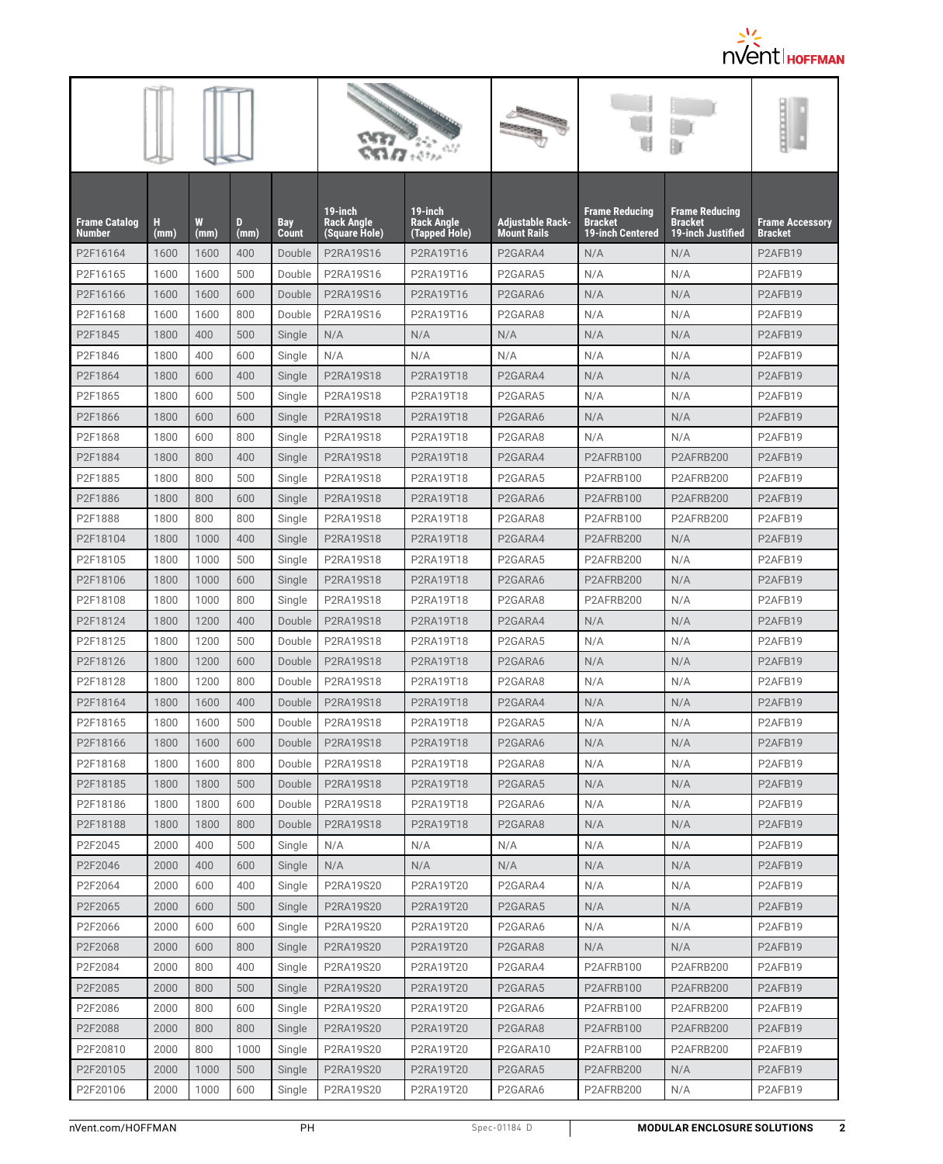

| <b>Frame Catalog</b><br><b>Number</b> | н<br>(mm) | W<br>(mm) | D<br>(mm) | Bay<br>Count | 19-inch<br>Rack Angle<br>(Square Hole) | 19-inch<br>Rack Angle<br>(Tapped Hole) | Adjustable Rack-<br><b>Mount Rails</b> | <b>Frame Reducing</b><br><b>Bracket</b><br><b>19-inch Centered</b> | <b>Frame Reducing</b><br><b>Bracket</b><br><b>19-inch Justified</b> | <b>Frame Accessory</b><br><b>Bracket</b> |
|---------------------------------------|-----------|-----------|-----------|--------------|----------------------------------------|----------------------------------------|----------------------------------------|--------------------------------------------------------------------|---------------------------------------------------------------------|------------------------------------------|
| P2F16164                              | 1600      | 1600      | 400       | Double       | P2RA19S16                              | P2RA19T16                              | P2GARA4                                | N/A                                                                | N/A                                                                 | P2AFB19                                  |
| P2F16165                              | 1600      | 1600      | 500       | Double       | P2RA19S16                              | P2RA19T16                              | P2GARA5                                | N/A                                                                | N/A                                                                 | P2AFB19                                  |
| P2F16166                              | 1600      | 1600      | 600       | Double       | P2RA19S16                              | P2RA19T16                              | P2GARA6                                | N/A                                                                | N/A                                                                 | P2AFB19                                  |
| P2F16168                              | 1600      | 1600      | 800       | Double       | P2RA19S16                              | P2RA19T16                              | P2GARA8                                | N/A                                                                | N/A                                                                 | P2AFB19                                  |
| P2F1845                               | 1800      | 400       | 500       | Single       | N/A                                    | N/A                                    | N/A                                    | N/A                                                                | N/A                                                                 | P2AFB19                                  |
| P2F1846                               | 1800      | 400       | 600       | Single       | N/A                                    | N/A                                    | N/A                                    | N/A                                                                | N/A                                                                 | P2AFB19                                  |
| P2F1864                               | 1800      | 600       | 400       | Single       | P2RA19S18                              | P2RA19T18                              | P2GARA4                                | N/A                                                                | N/A                                                                 | P <sub>2</sub> AF <sub>B</sub> 19        |
| P2F1865                               | 1800      | 600       | 500       | Single       | P2RA19S18                              | P2RA19T18                              | P2GARA5                                | N/A                                                                | N/A                                                                 | P2AFB19                                  |
| P2F1866                               | 1800      | 600       | 600       | Single       | P2RA19S18                              | P2RA19T18                              | P <sub>2</sub> GARA6                   | N/A                                                                | N/A                                                                 | P2AFB19                                  |
| P2F1868                               | 1800      | 600       | 800       | Single       | P2RA19S18                              | P2RA19T18                              | P2GARA8                                | N/A                                                                | N/A                                                                 | P2AFB19                                  |
| P2F1884                               | 1800      | 800       | 400       | Single       | P2RA19S18                              | P2RA19T18                              | P2GARA4                                | P2AFRB100                                                          | P2AFRB200                                                           | P2AFB19                                  |
| P2F1885                               | 1800      | 800       | 500       | Single       | P2RA19S18                              | P2RA19T18                              | P2GARA5                                | P2AFRB100                                                          | P2AFRB200                                                           | P2AFB19                                  |
| P2F1886                               | 1800      | 800       | 600       | Single       | P2RA19S18                              | P2RA19T18                              | P2GARA6                                | P2AFRB100                                                          | P2AFRB200                                                           | P2AFB19                                  |
| P2F1888                               | 1800      | 800       | 800       | Single       | P2RA19S18                              | P2RA19T18                              | P2GARA8                                | P2AFRB100                                                          | P2AFRB200                                                           | P2AFB19                                  |
| P2F18104                              | 1800      | 1000      | 400       | Single       | P2RA19S18                              | P2RA19T18                              | P2GARA4                                | P2AFRB200                                                          | N/A                                                                 | P2AFB19                                  |
| P2F18105                              | 1800      | 1000      | 500       | Single       | P2RA19S18                              | P2RA19T18                              | P2GARA5                                | P2AFRB200                                                          | N/A                                                                 | P2AFB19                                  |
| P2F18106                              | 1800      | 1000      | 600       | Single       | P2RA19S18                              | P2RA19T18                              | P2GARA6                                | P2AFRB200                                                          | N/A                                                                 | P2AFB19                                  |
| P2F18108                              | 1800      | 1000      | 800       | Single       | P2RA19S18                              | P2RA19T18                              | P2GARA8                                | P2AFRB200                                                          | N/A                                                                 | P2AFB19                                  |
| P2F18124                              | 1800      | 1200      | 400       | Double       | P2RA19S18                              | P2RA19T18                              | P2GARA4                                | N/A                                                                | N/A                                                                 | P2AFB19                                  |
| P2F18125                              | 1800      | 1200      | 500       | Double       | P2RA19S18                              | P2RA19T18                              | P2GARA5                                | N/A                                                                | N/A                                                                 | P2AFB19                                  |
| P2F18126                              | 1800      | 1200      | 600       | Double       | P2RA19S18                              | P2RA19T18                              | P2GARA6                                | N/A                                                                | N/A                                                                 | P2AFB19                                  |
| P2F18128                              | 1800      | 1200      | 800       | Double       | P2RA19S18                              | P2RA19T18                              | P2GARA8                                | N/A                                                                | N/A                                                                 | P2AFB19                                  |
| P2F18164                              | 1800      | 1600      | 400       | Double       | P2RA19S18                              | P2RA19T18                              | P2GARA4                                | N/A                                                                | N/A                                                                 | P2AFB19                                  |
| P2F18165                              | 1800      | 1600      | 500       | Double       | P2RA19S18                              | P2RA19T18                              | P2GARA5                                | N/A                                                                | N/A                                                                 | P2AFB19                                  |
| P2F18166                              | 1800      | 1600      | 600       | Double       | P2RA19S18                              | P2RA19T18                              | P <sub>2</sub> GARA6                   | N/A                                                                | N/A                                                                 | P <sub>2</sub> AF <sub>B</sub> 19        |
| P2F18168                              | 1800      | 1600      | 800       | Double       | P2RA19S18                              | P2RA19T18                              | P2GARA8                                | N/A                                                                | N/A                                                                 | P <sub>2</sub> AFB <sub>19</sub>         |
| P2F18185                              | 1800      | 1800      | 500       | Double       | P2RA19S18                              | P2RA19T18                              | P2GARA5                                | N/A                                                                | N/A                                                                 | P2AFB19                                  |
| P2F18186                              | 1800      | 1800      | 600       | Double       | P2RA19S18                              | P2RA19T18                              | P2GARA6                                | N/A                                                                | N/A                                                                 | P2AFB19                                  |
| P2F18188                              | 1800      | 1800      | 800       | Double       | P2RA19S18                              | P2RA19T18                              | P2GARA8                                | N/A                                                                | N/A                                                                 | P2AFB19                                  |
| P2F2045                               | 2000      | 400       | 500       | Single       | N/A                                    | N/A                                    | N/A                                    | N/A                                                                | N/A                                                                 | P2AFB19                                  |
| P2F2046                               | 2000      | 400       | 600       | Single       | N/A                                    | N/A                                    | N/A                                    | N/A                                                                | N/A                                                                 | P <sub>2</sub> AF <sub>B</sub> 19        |
| P2F2064                               | 2000      | 600       | 400       | Single       | P2RA19S20                              | P2RA19T20                              | P2GARA4                                | N/A                                                                | N/A                                                                 | P2AFB19                                  |
| P2F2065                               | 2000      | 600       | 500       | Single       | P2RA19S20                              | P2RA19T20                              | P2GARA5                                | N/A                                                                | N/A                                                                 | P2AFB19                                  |
| P2F2066                               | 2000      | 600       | 600       | Single       | P2RA19S20                              | P2RA19T20                              | P2GARA6                                | N/A                                                                | N/A                                                                 | P2AFB19                                  |
| P2F2068                               | 2000      | 600       | 800       | Single       | P2RA19S20                              | P2RA19T20                              | P2GARA8                                | N/A                                                                | N/A                                                                 | P2AFB19                                  |
| P2F2084                               | 2000      | 800       | 400       | Single       | P2RA19S20                              | P2RA19T20                              | P2GARA4                                | P2AFRB100                                                          | P2AFRB200                                                           | P2AFB19                                  |
| P2F2085                               | 2000      | 800       | 500       | Single       | P2RA19S20                              | P2RA19T20                              | P2GARA5                                | P2AFRB100                                                          | P2AFRB200                                                           | P2AFB19                                  |
| P2F2086                               | 2000      | 800       | 600       | Single       | P2RA19S20                              | P2RA19T20                              | P2GARA6                                | P2AFRB100                                                          | P2AFRB200                                                           | P2AFB19                                  |
| P2F2088                               | 2000      | 800       | 800       | Single       | P2RA19S20                              | P2RA19T20                              | P2GARA8                                | P2AFRB100                                                          | P2AFRB200                                                           | P2AFB19                                  |
| P2F20810                              | 2000      | 800       | 1000      | Single       | P2RA19S20                              | P2RA19T20                              | P2GARA10                               | P2AFRB100                                                          | P2AFRB200                                                           | P2AFB19                                  |
| P2F20105                              | 2000      | 1000      | 500       | Single       | P2RA19S20                              | P2RA19T20                              | P2GARA5                                | P2AFRB200                                                          | N/A                                                                 | P2AFB19                                  |
| P2F20106                              | 2000      | 1000      | 600       | Single       | P2RA19S20                              | P2RA19T20                              | P2GARA6                                | P2AFRB200                                                          | N/A                                                                 | P2AFB19                                  |
|                                       |           |           |           |              |                                        |                                        |                                        |                                                                    |                                                                     |                                          |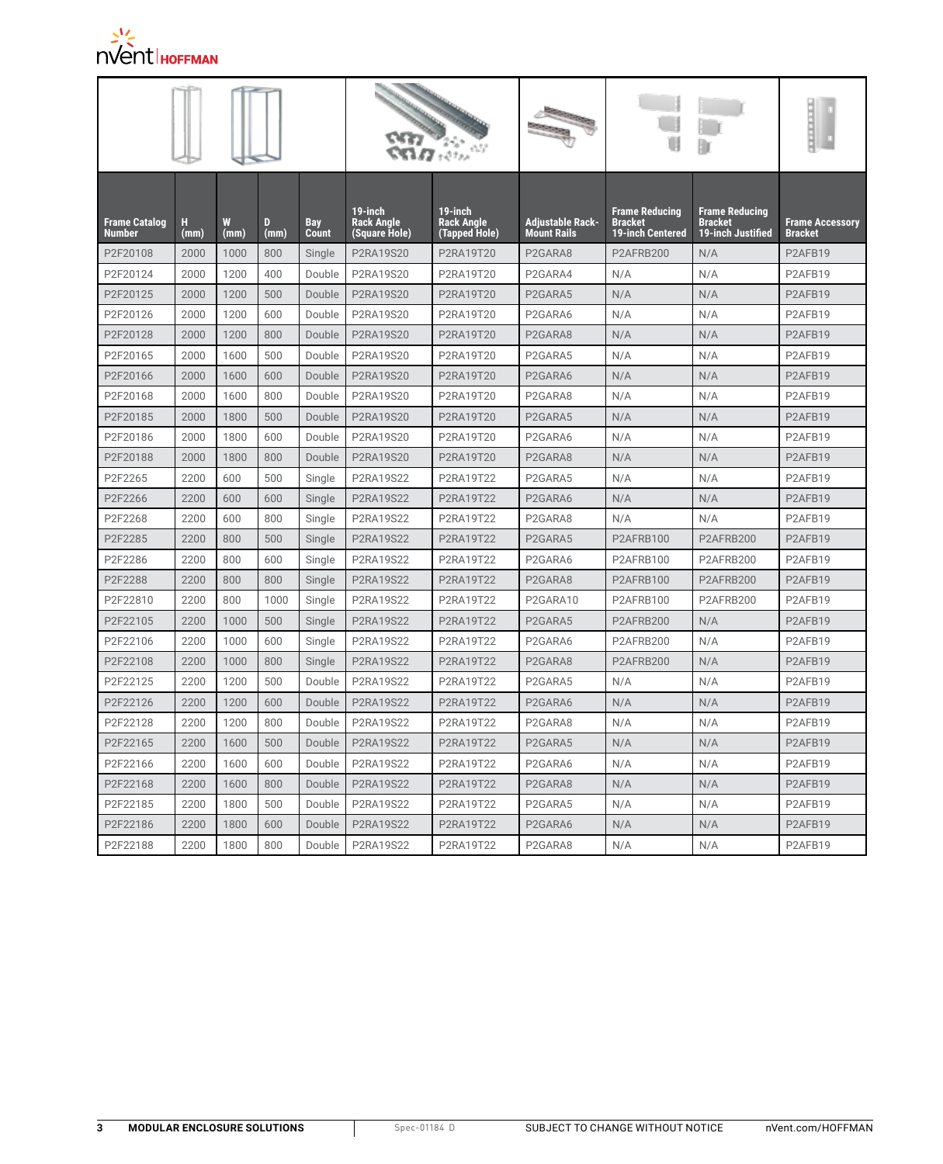

| <b>Frame Catalog</b><br>Number | н<br>(mm) | W<br>(mm) | D<br>(mm) | Bay<br>Count | $19$ -inch<br>Rack Angle<br>(Square Hole) | $19$ -inch<br>Rack Angle<br>(Tapped Hole) | Adjustable Rack-<br>Mount Rails  | <b>Frame Reducing</b><br><b>Bracket</b><br>19-inch Centered | <b>Frame Reducing</b><br><b>Bracket</b><br>19-inch Justified | <b>Frame Accessory</b><br><b>Bracket</b> |
|--------------------------------|-----------|-----------|-----------|--------------|-------------------------------------------|-------------------------------------------|----------------------------------|-------------------------------------------------------------|--------------------------------------------------------------|------------------------------------------|
| P2F20108                       | 2000      | 1000      | 800       | Single       | P2RA19S20                                 | P2RA19T20                                 | P2GARA8                          | P2AFRB200                                                   | N/A                                                          | P2AFB19                                  |
| P2F20124                       | 2000      | 1200      | 400       | Double       | P2RA19S20                                 | P2RA19T20                                 | P2GARA4                          | N/A                                                         | N/A                                                          | P2AFB19                                  |
| P2F20125                       | 2000      | 1200      | 500       | Double       | P2RA19S20                                 | P2RA19T20                                 | P2GARA5                          | N/A                                                         | N/A                                                          | P2AFB19                                  |
| P2F20126                       | 2000      | 1200      | 600       | Double       | P2RA19S20                                 | P2RA19T20                                 | P2GARA6                          | N/A                                                         | N/A                                                          | P2AFB19                                  |
| P2F20128                       | 2000      | 1200      | 800       | Double       | P2RA19S20                                 | P2RA19T20                                 | P2GARA8                          | N/A                                                         | N/A                                                          | P2AFB19                                  |
| P2F20165                       | 2000      | 1600      | 500       | Double       | P2RA19S20                                 | P2RA19T20                                 | P2GARA5                          | N/A                                                         | N/A                                                          | P2AFB19                                  |
| P2F20166                       | 2000      | 1600      | 600       | Double       | P2RA19S20                                 | P2RA19T20                                 | P <sub>2</sub> GARA6             | N/A                                                         | N/A                                                          | P <sub>2</sub> AFB <sub>19</sub>         |
| P2F20168                       | 2000      | 1600      | 800       | Double       | P2RA19S20                                 | P2RA19T20                                 | P2GARA8                          | N/A                                                         | N/A                                                          | P2AFB19                                  |
| P2F20185                       | 2000      | 1800      | 500       | Double       | P2RA19S20                                 | P2RA19T20                                 | P2GARA5                          | N/A                                                         | N/A                                                          | P2AFB19                                  |
| P2F20186                       | 2000      | 1800      | 600       | Double       | P2RA19S20                                 | P2RA19T20                                 | P2GARA6                          | N/A                                                         | N/A                                                          | P2AFB19                                  |
| P2F20188                       | 2000      | 1800      | 800       | Double       | P2RA19S20                                 | P2RA19T20                                 | P2GARA8                          | N/A                                                         | N/A                                                          | P2AFB19                                  |
| P2F2265                        | 2200      | 600       | 500       | Single       | P2RA19S22                                 | P2RA19T22                                 | P2GARA5                          | N/A                                                         | N/A                                                          | P2AFB19                                  |
| P2F2266                        | 2200      | 600       | 600       | Single       | P2RA19S22                                 | P2RA19T22                                 | P2GARA6                          | N/A                                                         | N/A                                                          | P2AFB19                                  |
| P2F2268                        | 2200      | 600       | 800       | Single       | P2RA19S22                                 | P2RA19T22                                 | P2GARA8                          | N/A                                                         | N/A                                                          | P2AFB19                                  |
| P2F2285                        | 2200      | 800       | 500       | Single       | P2RA19S22                                 | P2RA19T22                                 | P2GARA5                          | P2AFRB100                                                   | P2AFRB200                                                    | P2AFB19                                  |
| P2F2286                        | 2200      | 800       | 600       | Single       | P2RA19S22                                 | P2RA19T22                                 | P2GARA6                          | P2AFRB100                                                   | P2AFRB200                                                    | P2AFB19                                  |
| P2F2288                        | 2200      | 800       | 800       | Single       | P2RA19S22                                 | P2RA19T22                                 | P2GARA8                          | P2AFRB100                                                   | P2AFRB200                                                    | P2AFB19                                  |
| P2F22810                       | 2200      | 800       | 1000      | Single       | P2RA19S22                                 | P2RA19T22                                 | P2GARA10                         | P2AFRB100                                                   | P2AFRB200                                                    | P2AFB19                                  |
| P2F22105                       | 2200      | 1000      | 500       | Single       | P2RA19S22                                 | P2RA19T22                                 | P2GARA5                          | P2AFRB200                                                   | N/A                                                          | P2AFB19                                  |
| P2F22106                       | 2200      | 1000      | 600       | Single       | P2RA19S22                                 | P2RA19T22                                 | P2GARA6                          | P2AFRB200                                                   | N/A                                                          | P2AFB19                                  |
| P2F22108                       | 2200      | 1000      | 800       | Single       | P2RA19S22                                 | P2RA19T22                                 | P2GARA8                          | P2AFRB200                                                   | N/A                                                          | P2AFB19                                  |
| P2F22125                       | 2200      | 1200      | 500       | Double       | P2RA19S22                                 | P2RA19T22                                 | P2GARA5                          | N/A                                                         | N/A                                                          | P2AFB19                                  |
| P2F22126                       | 2200      | 1200      | 600       | Double       | P2RA19S22                                 | P2RA19T22                                 | P2GARA6                          | N/A                                                         | N/A                                                          | P2AFB19                                  |
| P2F22128                       | 2200      | 1200      | 800       | Double       | P2RA19S22                                 | P2RA19T22                                 | P2GARA8                          | N/A                                                         | N/A                                                          | P2AFB19                                  |
| P2F22165                       | 2200      | 1600      | 500       | Double       | P2RA19S22                                 | P2RA19T22                                 | P2GARA5                          | N/A                                                         | N/A                                                          | P2AFB19                                  |
| P2F22166                       | 2200      | 1600      | 600       | Double       | P2RA19S22                                 | P2RA19T22                                 | P <sub>2</sub> GARA6             | N/A                                                         | N/A                                                          | P <sub>2</sub> AFB <sub>19</sub>         |
| P2F22168                       | 2200      | 1600      | 800       | Double       | P2RA19S22                                 | P2RA19T22                                 | P2GARA8                          | N/A                                                         | N/A                                                          | P2AFB19                                  |
| P2F22185                       | 2200      | 1800      | 500       | Double       | P2RA19S22                                 | P2RA19T22                                 | P <sub>2</sub> GARA <sub>5</sub> | N/A                                                         | N/A                                                          | P <sub>2</sub> AFB <sub>19</sub>         |
| P2F22186                       | 2200      | 1800      | 600       | Double       | P2RA19S22                                 | P2RA19T22                                 | P <sub>2</sub> GARA6             | N/A                                                         | N/A                                                          | P <sub>2</sub> AF <sub>B</sub> 19        |
| P2F22188                       | 2200      | 1800      | 800       | Double       | P2RA19S22                                 | P2RA19T22                                 | P <sub>2</sub> GARA <sub>8</sub> | N/A                                                         | N/A                                                          | P2AFB19                                  |